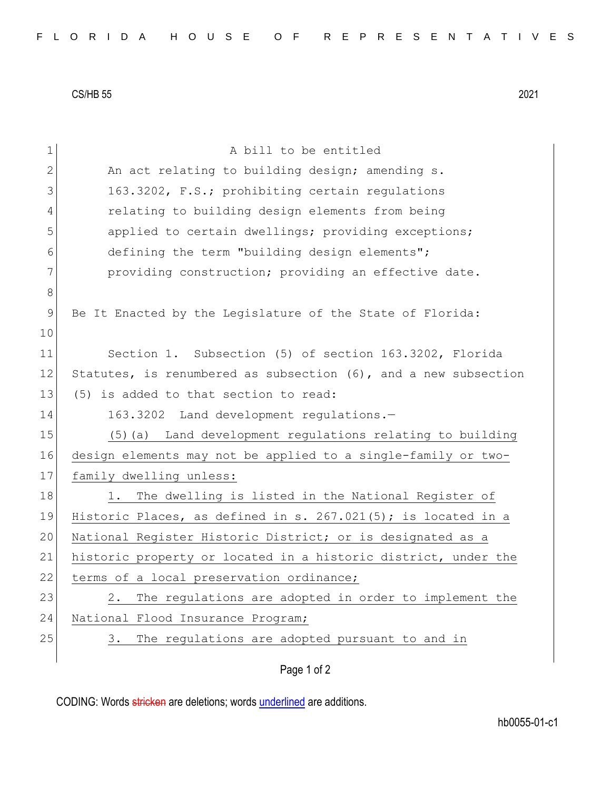CS/HB 55 2021

| $\mathbf 1$ | A bill to be entitled                                            |
|-------------|------------------------------------------------------------------|
| 2           | An act relating to building design; amending s.                  |
| 3           | 163.3202, F.S.; prohibiting certain regulations                  |
| 4           | relating to building design elements from being                  |
| 5           | applied to certain dwellings; providing exceptions;              |
| 6           | defining the term "building design elements";                    |
| 7           | providing construction; providing an effective date.             |
| 8           |                                                                  |
| 9           | Be It Enacted by the Legislature of the State of Florida:        |
| 10          |                                                                  |
| 11          | Section 1. Subsection (5) of section 163.3202, Florida           |
| 12          | Statutes, is renumbered as subsection (6), and a new subsection  |
| 13          | (5) is added to that section to read:                            |
| 14          | 163.3202 Land development regulations.-                          |
| 15          | Land development regulations relating to building<br>(5) (a)     |
| 16          | design elements may not be applied to a single-family or two-    |
| 17          | family dwelling unless:                                          |
| 18          | The dwelling is listed in the National Register of<br>1.         |
| 19          | Historic Places, as defined in s. $267.021(5)$ ; is located in a |
| 20          | National Register Historic District; or is designated as a       |
| 21          | historic property or located in a historic district, under the   |
| 22          | terms of a local preservation ordinance;                         |
| 23          | The regulations are adopted in order to implement the<br>2.      |
| 24          | National Flood Insurance Program;                                |
| 25          | The regulations are adopted pursuant to and in<br>3.             |
|             | Page 1 of 2                                                      |

CODING: Words stricken are deletions; words underlined are additions.